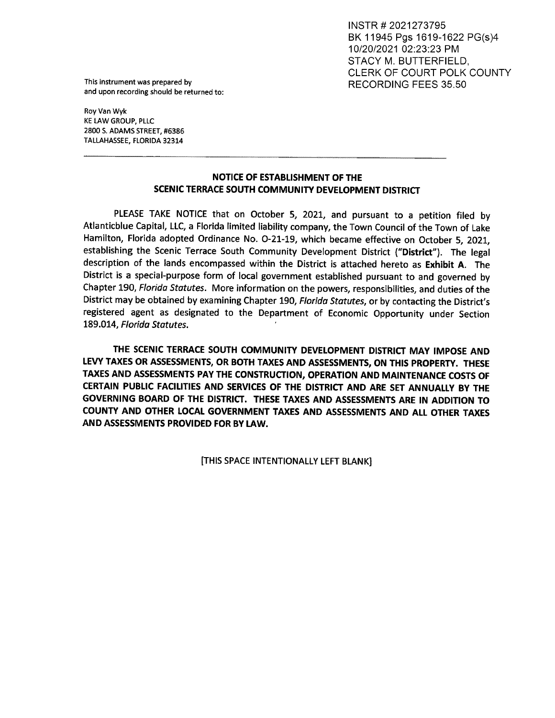INSTR # 2021273795 BK 11945 Pgs 1619-1622 PG(s)4 10/20/2021 02:23:23 PM STACY M. BUTTERFIELD, CLERK OF COURT POLK COUNTY

This instrument was prepared by  $RECORDING FEES 35.50$ and upon recording should be returned to:

Roy Van Wyk KE LAW GROUP, PLLC 2800 S. ADAMS STREET, #6386 This instrument was prepared by<br>and upon recording should be returned to:<br>Roy Van Wyk<br>KE LAW GROUP, PLLC<br>2800 S. ADAMS STREET, #6386<br>TALLAHASSEE, FLORIDA 32314 TALLAHASSEE, FLORIDA 32314

## NOTICE OF ESTABLISHMENT OF THE SCENIC TERRACE SOUTH COMMUNITY DEVELOPMENT DISTRICT

PLEASE TAKE NOTICE that on October 5, 2021, and pursuant to a petition filed by Atlanticblue Capital, LLC, a Florida limited liability company, the Town Council of the Town of Lake Hamilton, Florida adopted Ordinance No. 0-21-19, which became effective on October 5, 2021, establishing the Scenic Terrace South Community Development District ("District"). The legal description of the lands encompassed within the District is attached hereto as Exhibit A. The District is a special-purpose form of local government established pursuant to and governed by Chapter 190, Florida Statutes. More information on the powers, responsibilities, and duties of the District may be obtained by examining Chapter 190, Florida Statutes, or by contacting the District's registered agent as designated to the Department of Economic Opportunity under Section 189.014, Florida Statutes. '

THE SCENIC TERRACE SOUTH COMMUNITY DEVELOPMENT DISTRICT MAY IMPOSE AND LEVY TAXES OR ASSESSMENTS, OR BOTH TAXES AND ASSESSMENTS, ON THIS PROPERTY. THESE TAXES AND ASSESSMENTS PAY THE CONSTRUCTION, OPERATION AND MAINTENANCE COSTS OF CERTAIN PUBLIC FACILITIES AND SERVICES OF THE DISTRICT AND ARE SET ANNUALLY BY THE GOVERNING BOARD OF THE DISTRICT. THESE TAXES AND ASSESSMENTS ARE IN ADDITION TO COUNTY AND OTHER LOCAL GOVERNMENT TAXES AND ASSESSMENTS AND ALL OTHER TAXES AND ASSESSMENTS PROVIDED FOR BY LAW.

[THIS SPACE INTENTIONALLY LEFT BLANK]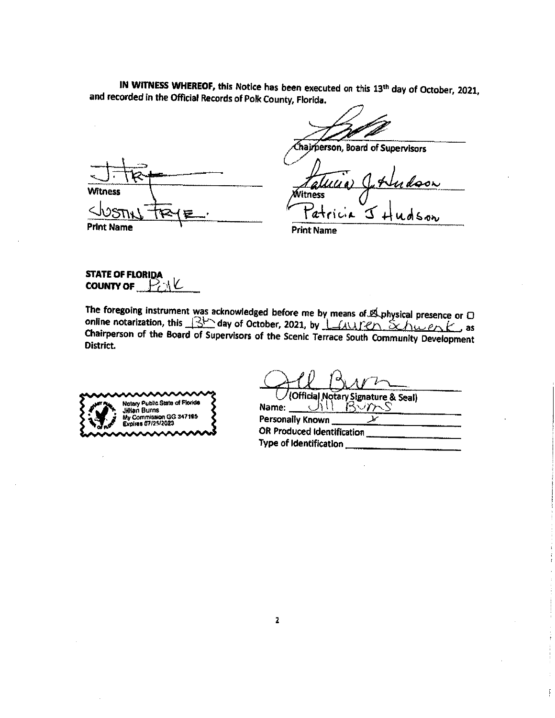IN WITNESS WHEREOF, this Notice has been executed on this 13th day of October, 2021, and recorded in the Official Records of Polk County, Florida.

**Witness**  $\zeta$ **Print Name** 

Chairperson, Board of Supervisors

<u>udson</u> Witness udson Fatric<sub>a</sub>

**Print Name** 

**STATE OF FLORIDA** COUNTY OF  $\mathbb{R}^2$ 

The foregoing instrument was acknowledged before me by means of E physical presence or D online notarization, this 3<sup>1</sup> day of October, 2021, by Lauren Schwenk, as Chairperson of the Board of Supervisors of the Scenic Terrace South Community Development District.



(Official Notary Signature & Seal) BVM くちけ Name:

Personally Known ν OR Produced Identification Type of Identification \_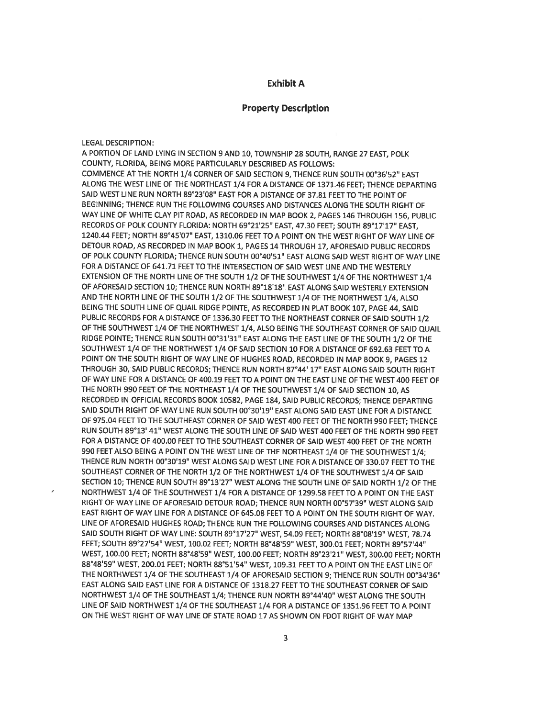## **Exhibit A**

## **Property Description**

**LEGAL DESCRIPTION:** 

A PORTION OF LAND LYING IN SECTION 9 AND 10, TOWNSHIP 28 SOUTH, RANGE 27 EAST, POLK COUNTY, FLORIDA, BEING MORE PARTICULARLY DESCRIBED AS FOLLOWS: COMMENCE AT THE NORTH 1/4 CORNER OF SAID SECTION 9, THENCE RUN SOUTH 00°36'52" EAST ALONG THE WEST LINE OF THE NORTHEAST 1/4 FOR A DISTANCE OF 1371.46 FEET; THENCE DEPARTING SAID WEST LINE RUN NORTH 89°23'08" EAST FOR A DISTANCE OF 37.81 FEET TO THE POINT OF BEGINNING; THENCE RUN THE FOLLOWING COURSES AND DISTANCES ALONG THE SOUTH RIGHT OF WAY LINE OF WHITE CLAY PIT ROAD, AS RECORDED IN MAP BOOK 2, PAGES 146 THROUGH 156, PUBLIC RECORDS OF POLK COUNTY FLORIDA: NORTH 69°21'25" EAST, 47.30 FEET; SOUTH 89°17'17" EAST, 1240.44 FEET; NORTH 89°45'07" EAST, 1310.06 FEET TO A POINT ON THE WEST RIGHT OF WAY LINE OF DETOUR ROAD, AS RECORDED IN MAP BOOK 1, PAGES 14 THROUGH 17, AFORESAID PUBLIC RECORDS OF POLK COUNTY FLORIDA; THENCE RUN SOUTH 00°40'51" EAST ALONG SAID WEST RIGHT OF WAY LINE FOR A DISTANCE OF 641.71 FEET TO THE INTERSECTION OF SAID WEST LINE AND THE WESTERLY EXTENSION OF THE NORTH LINE OF THE SOUTH 1/2 OF THE SOUTHWEST 1/4 OF THE NORTHWEST 1/4 OF AFORESAID SECTION 10; THENCE RUN NORTH 89°18'18" EAST ALONG SAID WESTERLY EXTENSION AND THE NORTH LINE OF THE SOUTH 1/2 OF THE SOUTHWEST 1/4 OF THE NORTHWEST 1/4, ALSO BEING THE SOUTH LINE OF QUAIL RIDGE POINTE, AS RECORDED IN PLAT BOOK 107, PAGE 44, SAID PUBLIC RECORDS FOR A DISTANCE OF 1336.30 FEET TO THE NORTHEAST CORNER OF SAID SOUTH 1/2 OF THE SOUTHWEST 1/4 OF THE NORTHWEST 1/4, ALSO BEING THE SOUTHEAST CORNER OF SAID QUAIL RIDGE POINTE; THENCE RUN SOUTH 00°31'31" EAST ALONG THE EAST LINE OF THE SOUTH 1/2 OF THE SOUTHWEST 1/4 OF THE NORTHWEST 1/4 OF SAID SECTION 10 FOR A DISTANCE OF 692.63 FEET TO A POINT ON THE SOUTH RIGHT OF WAY LINE OF HUGHES ROAD, RECORDED IN MAP BOOK 9, PAGES 12 THROUGH 30, SAID PUBLIC RECORDS; THENCE RUN NORTH 87°44' 17" EAST ALONG SAID SOUTH RIGHT OF WAY LINE FOR A DISTANCE OF 400.19 FEET TO A POINT ON THE EAST LINE OF THE WEST 400 FEET OF THE NORTH 990 FEET OF THE NORTHEAST 1/4 OF THE SOUTHWEST 1/4 OF SAID SECTION 10, AS RECORDED IN OFFICIAL RECORDS BOOK 10582, PAGE 184, SAID PUBLIC RECORDS; THENCE DEPARTING SAID SOUTH RIGHT OF WAY LINE RUN SOUTH 00°30'19" EAST ALONG SAID EAST LINE FOR A DISTANCE OF 975.04 FEET TO THE SOUTHEAST CORNER OF SAID WEST 400 FEET OF THE NORTH 990 FEET; THENCE RUN SOUTH 89°13' 41" WEST ALONG THE SOUTH LINE OF SAID WEST 400 FEET OF THE NORTH 990 FEET FOR A DISTANCE OF 400.00 FEET TO THE SOUTHEAST CORNER OF SAID WEST 400 FEET OF THE NORTH 990 FEET ALSO BEING A POINT ON THE WEST LINE OF THE NORTHEAST 1/4 OF THE SOUTHWEST 1/4: THENCE RUN NORTH 00°30'19" WEST ALONG SAID WEST LINE FOR A DISTANCE OF 330.07 FEET TO THE SOUTHEAST CORNER OF THE NORTH 1/2 OF THE NORTHWEST 1/4 OF THE SOUTHWEST 1/4 OF SAID SECTION 10; THENCE RUN SOUTH 89°13'27" WEST ALONG THE SOUTH LINE OF SAID NORTH 1/2 OF THE NORTHWEST 1/4 OF THE SOUTHWEST 1/4 FOR A DISTANCE OF 1299.58 FEET TO A POINT ON THE EAST RIGHT OF WAY LINE OF AFORESAID DETOUR ROAD; THENCE RUN NORTH 00°57'39" WEST ALONG SAID EAST RIGHT OF WAY LINE FOR A DISTANCE OF 645.08 FEET TO A POINT ON THE SOUTH RIGHT OF WAY. LINE OF AFORESAID HUGHES ROAD; THENCE RUN THE FOLLOWING COURSES AND DISTANCES ALONG SAID SOUTH RIGHT OF WAY LINE: SOUTH 89°17'27" WEST, 54.09 FEET; NORTH 88°08'19" WEST, 78.74 FEET; SOUTH 89°27'54" WEST, 100.02 FEET; NORTH 88°48'59" WEST, 300.01 FEET; NORTH 89°57'44" WEST, 100.00 FEET; NORTH 88°48'59" WEST, 100.00 FEET; NORTH 89°23'21" WEST, 300.00 FEET; NORTH 88°48'59" WEST, 200.01 FEET; NORTH 88°51'54" WEST, 109.31 FEET TO A POINT ON THE EAST LINE OF THE NORTHWEST 1/4 OF THE SOUTHEAST 1/4 OF AFORESAID SECTION 9; THENCE RUN SOUTH 00°34'36" EAST ALONG SAID EAST LINE FOR A DISTANCE OF 1318.27 FEET TO THE SOUTHEAST CORNER OF SAID NORTHWEST 1/4 OF THE SOUTHEAST 1/4; THENCE RUN NORTH 89°44'40" WEST ALONG THE SOUTH LINE OF SAID NORTHWEST 1/4 OF THE SOUTHEAST 1/4 FOR A DISTANCE OF 1351.96 FEET TO A POINT ON THE WEST RIGHT OF WAY LINE OF STATE ROAD 17 AS SHOWN ON FDOT RIGHT OF WAY MAP